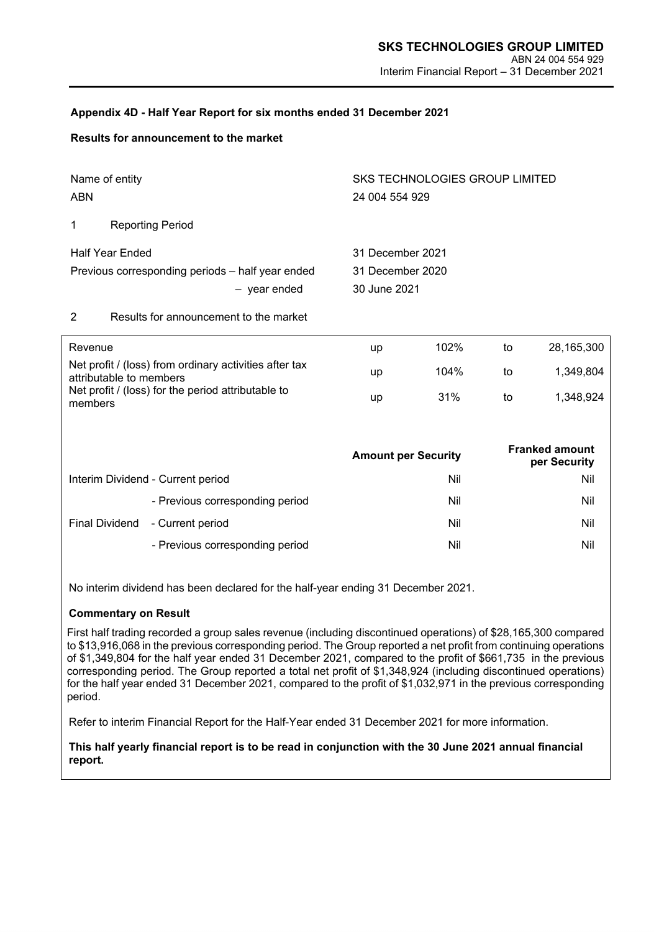### **Appendix 4D - Half Year Report for six months ended 31 December 2021**

#### **Results for announcement to the market**

| Name of entity                                   |              | SKS TECHNOLOGIES GROUP LIMITED   |
|--------------------------------------------------|--------------|----------------------------------|
| ABN                                              |              | 24 004 554 929                   |
| <b>Reporting Period</b><br>$\overline{1}$        |              |                                  |
| <b>Half Year Ended</b>                           |              | 31 December 2021                 |
| Previous corresponding periods - half year ended | - year ended | 31 December 2020<br>30 June 2021 |

### 2 Results for announcement to the market

| Revenue                                                                           | up | 102% | to | 28.165.300 |
|-----------------------------------------------------------------------------------|----|------|----|------------|
| Net profit / (loss) from ordinary activities after tax<br>attributable to members | up | 104% | to | 1.349.804  |
| Net profit / (loss) for the period attributable to<br>members                     | up | 31%  | to | 1.348.924  |

|                |                                   | <b>Amount per Security</b> | <b>Franked amount</b><br>per Security |
|----------------|-----------------------------------|----------------------------|---------------------------------------|
|                | Interim Dividend - Current period | Nil                        | Nil                                   |
|                | - Previous corresponding period   | Nil                        | Nil                                   |
| Final Dividend | - Current period                  | Nil                        | Nil                                   |
|                | - Previous corresponding period   | Nil                        | Nil                                   |

No interim dividend has been declared for the half-year ending 31 December 2021.

#### **Commentary on Result**

First half trading recorded a group sales revenue (including discontinued operations) of \$28,165,300 compared to \$13,916,068 in the previous corresponding period. The Group reported a net profit from continuing operations of \$1,349,804 for the half year ended 31 December 2021, compared to the profit of \$661,735 in the previous corresponding period. The Group reported a total net profit of \$1,348,924 (including discontinued operations) for the half year ended 31 December 2021, compared to the profit of \$1,032,971 in the previous corresponding period.

Refer to interim Financial Report for the Half-Year ended 31 December 2021 for more information.

**This half yearly financial report is to be read in conjunction with the 30 June 2021 annual financial report.**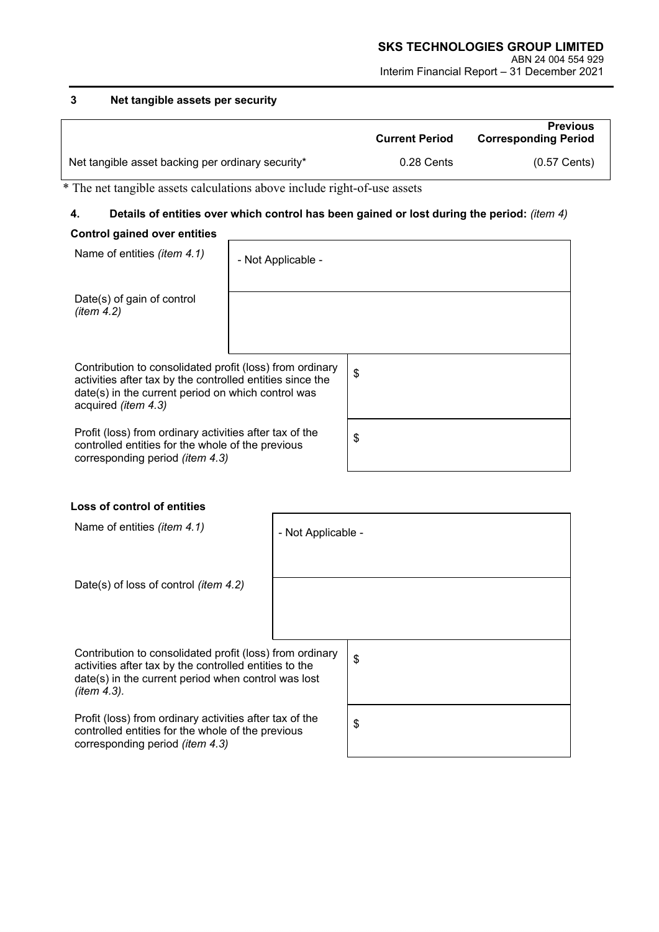# **3 Net tangible assets per security**

|                                                   | <b>Current Period</b> | <b>Previous</b><br><b>Corresponding Period</b> |
|---------------------------------------------------|-----------------------|------------------------------------------------|
| Net tangible asset backing per ordinary security* | 0.28 Cents            | $(0.57$ Cents)                                 |

\* The net tangible assets calculations above include right-of-use assets

# **4. Details of entities over which control has been gained or lost during the period:** *(item 4)* **Control gained over entities**

| Name of entities (item 4.1)                                                                                                                                                                               | - Not Applicable - |                           |
|-----------------------------------------------------------------------------------------------------------------------------------------------------------------------------------------------------------|--------------------|---------------------------|
| Date(s) of gain of control<br>(item 4.2)                                                                                                                                                                  |                    |                           |
| Contribution to consolidated profit (loss) from ordinary<br>activities after tax by the controlled entities since the<br>date(s) in the current period on which control was<br>acquired <i>(item 4.3)</i> |                    | $\boldsymbol{\mathsf{S}}$ |
| Profit (loss) from ordinary activities after tax of the<br>controlled entities for the whole of the previous<br>corresponding period ( <i>item 4.3</i> )                                                  |                    | \$                        |

# **Loss of control of entities**

| Name of entities <i>(item 4.1)</i>                                                                                                                                                          | - Not Applicable - |    |
|---------------------------------------------------------------------------------------------------------------------------------------------------------------------------------------------|--------------------|----|
| Date(s) of loss of control <i>(item 4.2)</i>                                                                                                                                                |                    |    |
| Contribution to consolidated profit (loss) from ordinary<br>activities after tax by the controlled entities to the<br>date(s) in the current period when control was lost<br>(item $4.3$ ). |                    | \$ |
| Profit (loss) from ordinary activities after tax of the<br>controlled entities for the whole of the previous<br>corresponding period ( <i>item 4.3</i> )                                    |                    | \$ |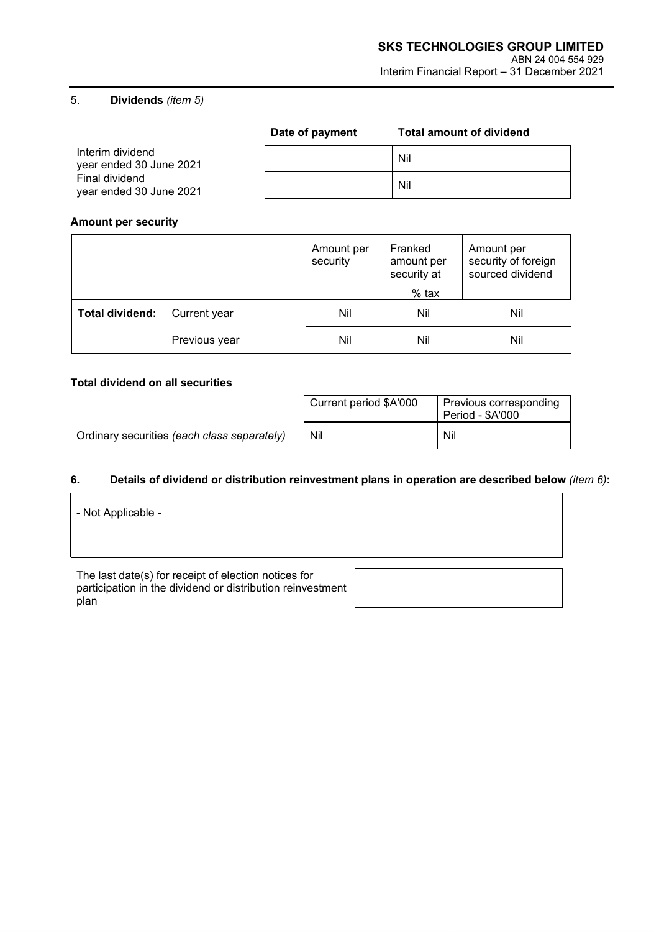### 5. **Dividends** *(item 5)*

|                                                                                          | Date of payment | <b>Total amount of dividend</b> |
|------------------------------------------------------------------------------------------|-----------------|---------------------------------|
| Interim dividend<br>year ended 30 June 2021<br>Final dividend<br>year ended 30 June 2021 |                 | Nil                             |
|                                                                                          |                 | Nil                             |

### **Amount per security**

|                 |               | Amount per<br>security | Franked<br>amount per<br>security at | Amount per<br>security of foreign<br>sourced dividend |
|-----------------|---------------|------------------------|--------------------------------------|-------------------------------------------------------|
|                 |               |                        | $%$ tax                              |                                                       |
| Total dividend: | Current year  | Nil                    | Nil                                  | Nil                                                   |
|                 | Previous year | Nil                    | Nil                                  | Nil                                                   |

### **Total dividend on all securities**

 $\overline{\Gamma}$ 

Ordinary securities (each class separately)

| Current period \$A'000 | Previous corresponding<br>Period - \$A'000 |  |
|------------------------|--------------------------------------------|--|
| Nil                    | Nil                                        |  |

#### **6. Details of dividend or distribution reinvestment plans in operation are described below** *(item 6)***:**

| - Not Applicable - |  |  |  |
|--------------------|--|--|--|
|                    |  |  |  |
|                    |  |  |  |

The last date(s) for receipt of election notices for participation in the dividend or distribution reinvestment .<br>plan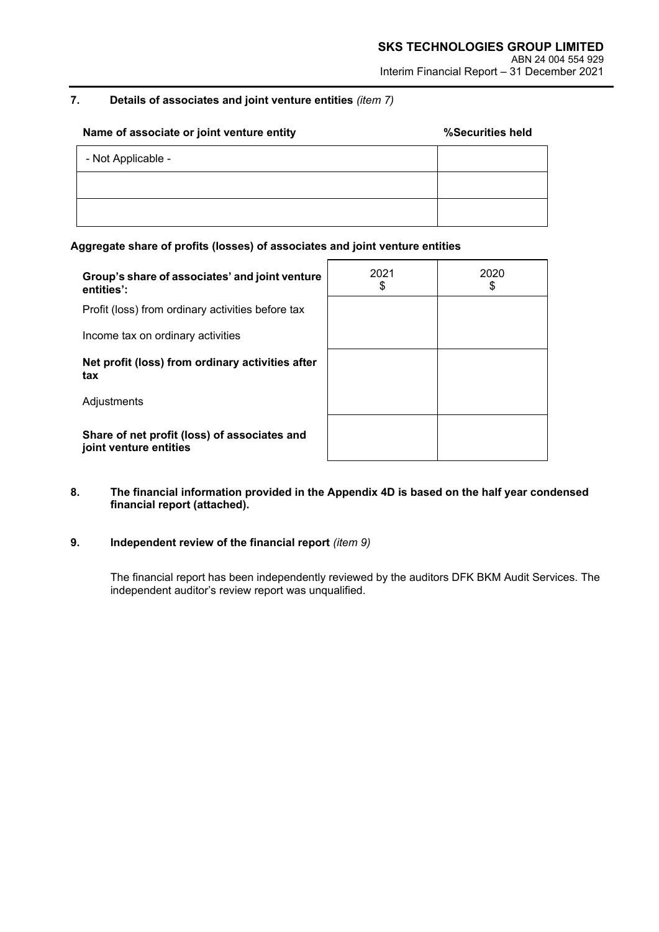# **7. Details of associates and joint venture entities** *(item 7)*

| Name of associate or joint venture entity | %Securities held |
|-------------------------------------------|------------------|
| - Not Applicable -                        |                  |
|                                           |                  |
|                                           |                  |

#### **Aggregate share of profits (losses) of associates and joint venture entities**

| Group's share of associates' and joint venture<br>entities':           | 2021<br>\$ | 2020<br>\$ |
|------------------------------------------------------------------------|------------|------------|
| Profit (loss) from ordinary activities before tax                      |            |            |
| Income tax on ordinary activities                                      |            |            |
| Net profit (loss) from ordinary activities after<br>tax                |            |            |
| Adjustments                                                            |            |            |
| Share of net profit (loss) of associates and<br>joint venture entities |            |            |

### **8. The financial information provided in the Appendix 4D is based on the half year condensed financial report (attached).**

# **9. Independent review of the financial report** *(item 9)*

The financial report has been independently reviewed by the auditors DFK BKM Audit Services. The independent auditor's review report was unqualified.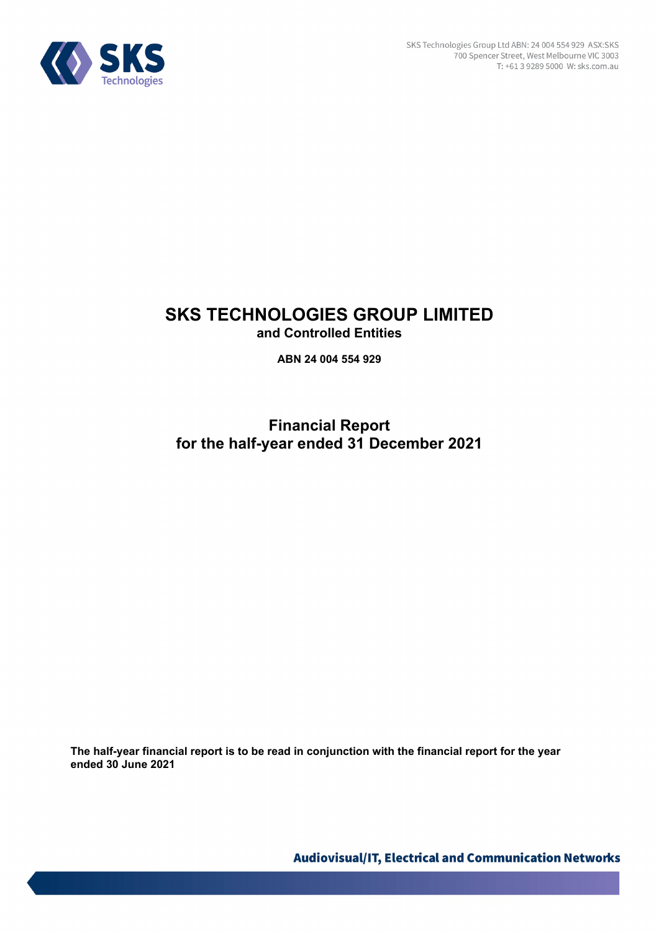

# **SKS TECHNOLOGIES GROUP LIMITED and Controlled Entities**

**ABN 24 004 554 929** 

**Financial Report for the half-year ended 31 December 2021**

**The half-year financial report is to be read in conjunction with the financial report for the year ended 30 June 2021**

Audiovisual/IT, Electrical and Communication Networks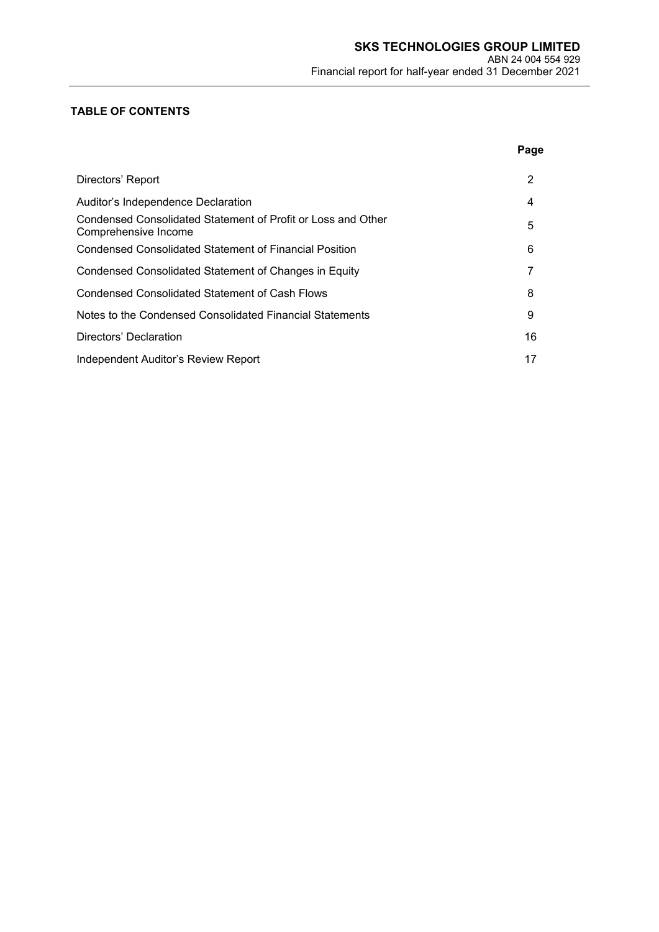# **TABLE OF CONTENTS**

|                                                                                      | Page |
|--------------------------------------------------------------------------------------|------|
| Directors' Report                                                                    | 2    |
| Auditor's Independence Declaration                                                   | 4    |
| Condensed Consolidated Statement of Profit or Loss and Other<br>Comprehensive Income | 5    |
| Condensed Consolidated Statement of Financial Position                               | 6    |
| Condensed Consolidated Statement of Changes in Equity                                | 7    |
| <b>Condensed Consolidated Statement of Cash Flows</b>                                | 8    |
| Notes to the Condensed Consolidated Financial Statements                             | 9    |
| Directors' Declaration                                                               | 16   |
| Independent Auditor's Review Report                                                  | 17   |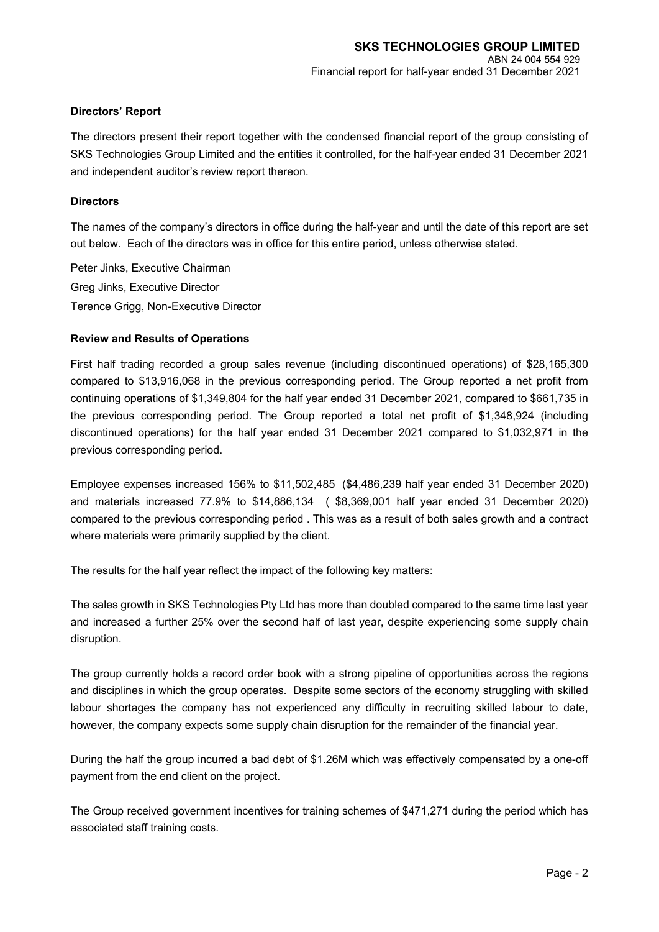#### **Directors' Report**

The directors present their report together with the condensed financial report of the group consisting of SKS Technologies Group Limited and the entities it controlled, for the half-year ended 31 December 2021 and independent auditor's review report thereon.

#### **Directors**

The names of the company's directors in office during the half-year and until the date of this report are set out below. Each of the directors was in office for this entire period, unless otherwise stated.

Peter Jinks, Executive Chairman Greg Jinks, Executive Director Terence Grigg, Non-Executive Director

#### **Review and Results of Operations**

First half trading recorded a group sales revenue (including discontinued operations) of \$28,165,300 compared to \$13,916,068 in the previous corresponding period. The Group reported a net profit from continuing operations of \$1,349,804 for the half year ended 31 December 2021, compared to \$661,735 in the previous corresponding period. The Group reported a total net profit of \$1,348,924 (including discontinued operations) for the half year ended 31 December 2021 compared to \$1,032,971 in the previous corresponding period.

Employee expenses increased 156% to \$11,502,485 (\$4,486,239 half year ended 31 December 2020) and materials increased 77.9% to \$14,886,134 ( \$8,369,001 half year ended 31 December 2020) compared to the previous corresponding period . This was as a result of both sales growth and a contract where materials were primarily supplied by the client.

The results for the half year reflect the impact of the following key matters:

The sales growth in SKS Technologies Pty Ltd has more than doubled compared to the same time last year and increased a further 25% over the second half of last year, despite experiencing some supply chain disruption.

The group currently holds a record order book with a strong pipeline of opportunities across the regions and disciplines in which the group operates. Despite some sectors of the economy struggling with skilled labour shortages the company has not experienced any difficulty in recruiting skilled labour to date, however, the company expects some supply chain disruption for the remainder of the financial year.

During the half the group incurred a bad debt of \$1.26M which was effectively compensated by a one-off payment from the end client on the project.

The Group received government incentives for training schemes of \$471,271 during the period which has associated staff training costs.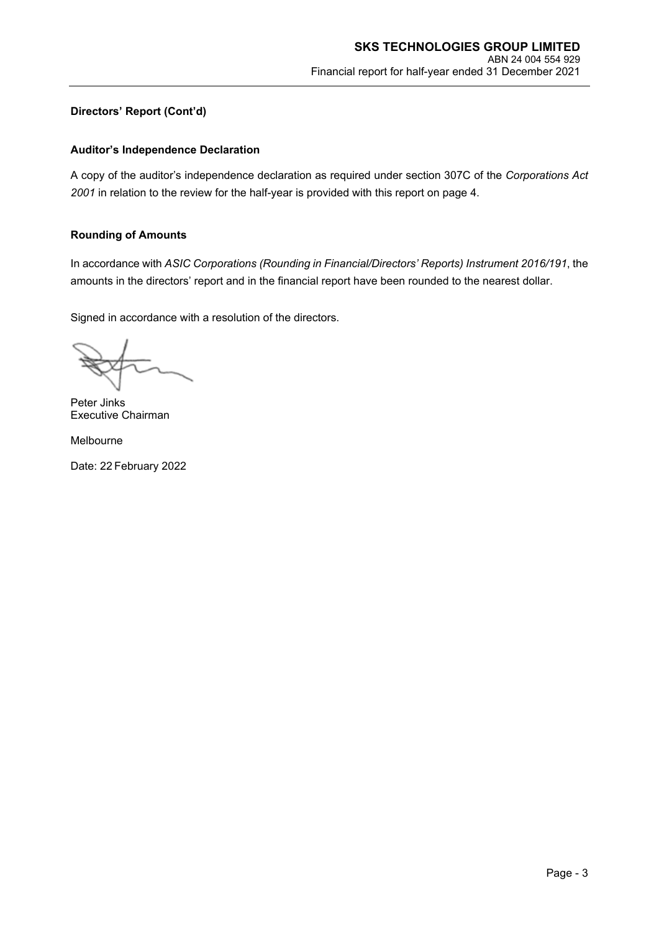### **Directors' Report (Cont'd)**

### **Auditor's Independence Declaration**

A copy of the auditor's independence declaration as required under section 307C of the *Corporations Act 2001* in relation to the review for the half-year is provided with this report on page 4.

#### **Rounding of Amounts**

In accordance with *ASIC Corporations (Rounding in Financial/Directors' Reports) Instrument 2016/191*, the amounts in the directors' report and in the financial report have been rounded to the nearest dollar.

Signed in accordance with a resolution of the directors.

Peter Jinks Executive Chairman

Melbourne

Date: 22 February 2022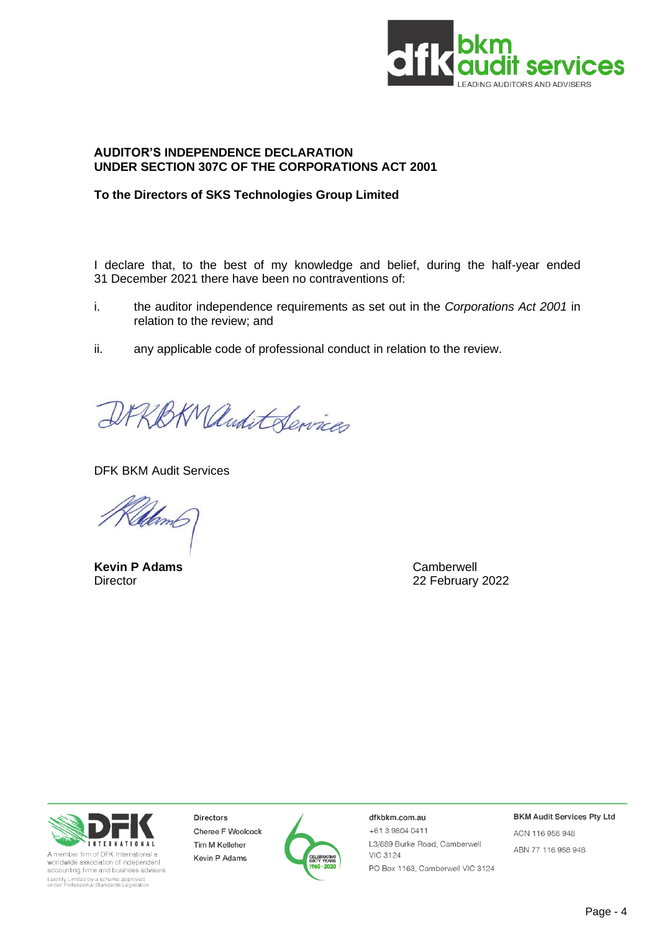

### **AUDITOR'S INDEPENDENCE DECLARATION UNDER SECTION 307C OF THE CORPORATIONS ACT 2001**

# **To the Directors of SKS Technologies Group Limited**

I declare that, to the best of my knowledge and belief, during the half-year ended 31 December 2021 there have been no contraventions of:

- i. the auditor independence requirements as set out in the *Corporations Act 2001* in relation to the review; and
- ii. any applicable code of professional conduct in relation to the review.

DRRBKManditServices

DFK BKM Audit Services

Uam

**Kevin P Adams** Camberwell

Director 22 February 2022



A member firm of DFK International a worldwide association of independent accounting firms and business advisers Liability Limited by a scheme approved<br>under Professional Standards Legislation

Directors Cheree F Woolcock Tim M Kelleher Kevin P Adams



dfkbkm.com.au

+61398040411 L3/689 Burke Road, Camberwell **VIC 3124** PO Box 1163, Camberwell VIC 3124 **BKM Audit Services Pty Ltd** 

ACN 116 958 948 ABN 77 116 958 948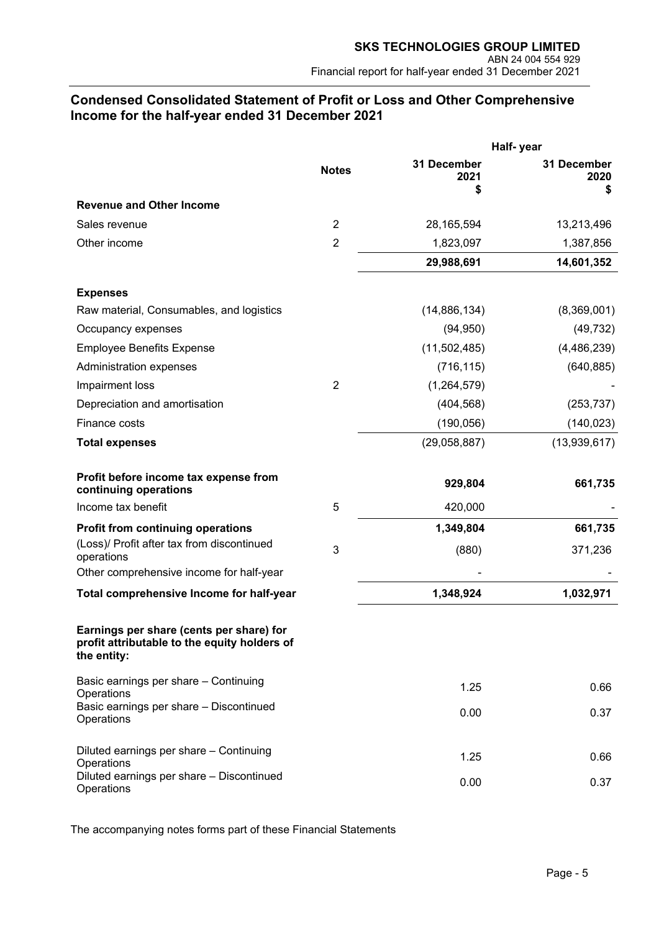# **Condensed Consolidated Statement of Profit or Loss and Other Comprehensive Income for the half-year ended 31 December 2021**

|                                                                                                         |                | Half-year                |                          |  |
|---------------------------------------------------------------------------------------------------------|----------------|--------------------------|--------------------------|--|
|                                                                                                         | <b>Notes</b>   | 31 December<br>2021<br>S | 31 December<br>2020<br>S |  |
| <b>Revenue and Other Income</b>                                                                         |                |                          |                          |  |
| Sales revenue                                                                                           | $\overline{2}$ | 28,165,594               | 13,213,496               |  |
| Other income                                                                                            | $\overline{2}$ | 1,823,097                | 1,387,856                |  |
|                                                                                                         |                | 29,988,691               | 14,601,352               |  |
| <b>Expenses</b>                                                                                         |                |                          |                          |  |
| Raw material, Consumables, and logistics                                                                |                | (14,886,134)             | (8,369,001)              |  |
| Occupancy expenses                                                                                      |                | (94, 950)                | (49, 732)                |  |
| <b>Employee Benefits Expense</b>                                                                        |                | (11,502,485)             | (4,486,239)              |  |
| Administration expenses                                                                                 |                | (716, 115)               | (640, 885)               |  |
| Impairment loss                                                                                         | $\overline{2}$ | (1,264,579)              |                          |  |
| Depreciation and amortisation                                                                           |                | (404, 568)               | (253, 737)               |  |
| Finance costs                                                                                           |                | (190, 056)               | (140, 023)               |  |
| <b>Total expenses</b>                                                                                   |                | (29,058,887)             | (13,939,617)             |  |
| Profit before income tax expense from<br>continuing operations                                          |                | 929,804                  | 661,735                  |  |
| Income tax benefit                                                                                      | 5              | 420,000                  |                          |  |
| <b>Profit from continuing operations</b>                                                                |                | 1,349,804                | 661,735                  |  |
| (Loss)/ Profit after tax from discontinued<br>operations                                                | 3              | (880)                    | 371,236                  |  |
| Other comprehensive income for half-year                                                                |                |                          |                          |  |
| Total comprehensive Income for half-year                                                                |                | 1,348,924                | 1,032,971                |  |
| Earnings per share (cents per share) for<br>profit attributable to the equity holders of<br>the entity: |                |                          |                          |  |
| Basic earnings per share - Continuing<br>Operations                                                     |                | 1.25                     | 0.66                     |  |
| Basic earnings per share - Discontinued<br>Operations                                                   |                | 0.00                     | 0.37                     |  |
| Diluted earnings per share - Continuing<br>Operations                                                   |                | 1.25                     | 0.66                     |  |
| Diluted earnings per share - Discontinued<br>Operations                                                 |                | 0.00                     | 0.37                     |  |

The accompanying notes forms part of these Financial Statements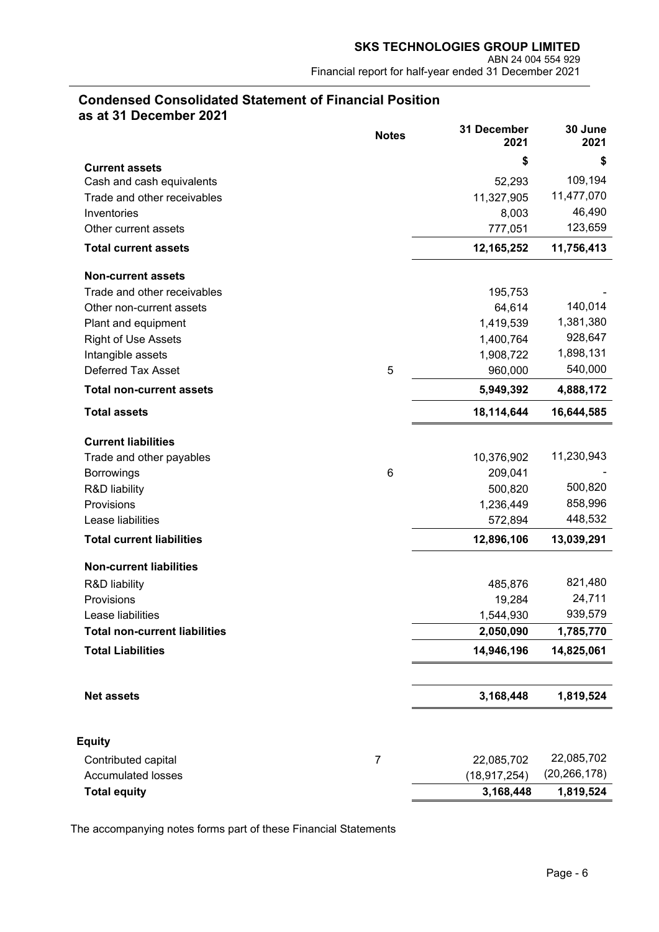# **Condensed Consolidated Statement of Financial Position as at 31 December 2021**

|                                      | <b>Notes</b>   | 31 December<br>2021 | 30 June<br>2021 |
|--------------------------------------|----------------|---------------------|-----------------|
| <b>Current assets</b>                |                | \$                  | \$              |
| Cash and cash equivalents            |                | 52,293              | 109,194         |
| Trade and other receivables          |                | 11,327,905          | 11,477,070      |
| Inventories                          |                | 8,003               | 46,490          |
| Other current assets                 |                | 777,051             | 123,659         |
| <b>Total current assets</b>          |                | 12,165,252          | 11,756,413      |
| <b>Non-current assets</b>            |                |                     |                 |
| Trade and other receivables          |                | 195,753             |                 |
| Other non-current assets             |                | 64,614              | 140,014         |
| Plant and equipment                  |                | 1,419,539           | 1,381,380       |
| <b>Right of Use Assets</b>           |                | 1,400,764           | 928,647         |
| Intangible assets                    |                | 1,908,722           | 1,898,131       |
| <b>Deferred Tax Asset</b>            | 5              | 960,000             | 540,000         |
| <b>Total non-current assets</b>      |                | 5,949,392           | 4,888,172       |
| <b>Total assets</b>                  |                | 18,114,644          | 16,644,585      |
| <b>Current liabilities</b>           |                |                     |                 |
| Trade and other payables             |                | 10,376,902          | 11,230,943      |
| <b>Borrowings</b>                    | 6              | 209,041             |                 |
| <b>R&amp;D liability</b>             |                | 500,820             | 500,820         |
| Provisions                           |                | 1,236,449           | 858,996         |
| Lease liabilities                    |                | 572,894             | 448,532         |
| <b>Total current liabilities</b>     |                | 12,896,106          | 13,039,291      |
| <b>Non-current liabilities</b>       |                |                     |                 |
| R&D liability                        |                | 485,876             | 821,480         |
| Provisions                           |                | 19,284              | 24,711          |
| Lease liabilities                    |                | 1,544,930           | 939,579         |
| <b>Total non-current liabilities</b> |                | 2,050,090           | 1,785,770       |
| <b>Total Liabilities</b>             |                | 14,946,196          | 14,825,061      |
|                                      |                |                     |                 |
| <b>Net assets</b>                    |                | 3,168,448           | 1,819,524       |
| <b>Equity</b>                        |                |                     |                 |
| Contributed capital                  | $\overline{7}$ | 22,085,702          | 22,085,702      |
| <b>Accumulated losses</b>            |                | (18, 917, 254)      | (20, 266, 178)  |
| <b>Total equity</b>                  |                | 3,168,448           | 1,819,524       |
|                                      |                |                     |                 |

The accompanying notes forms part of these Financial Statements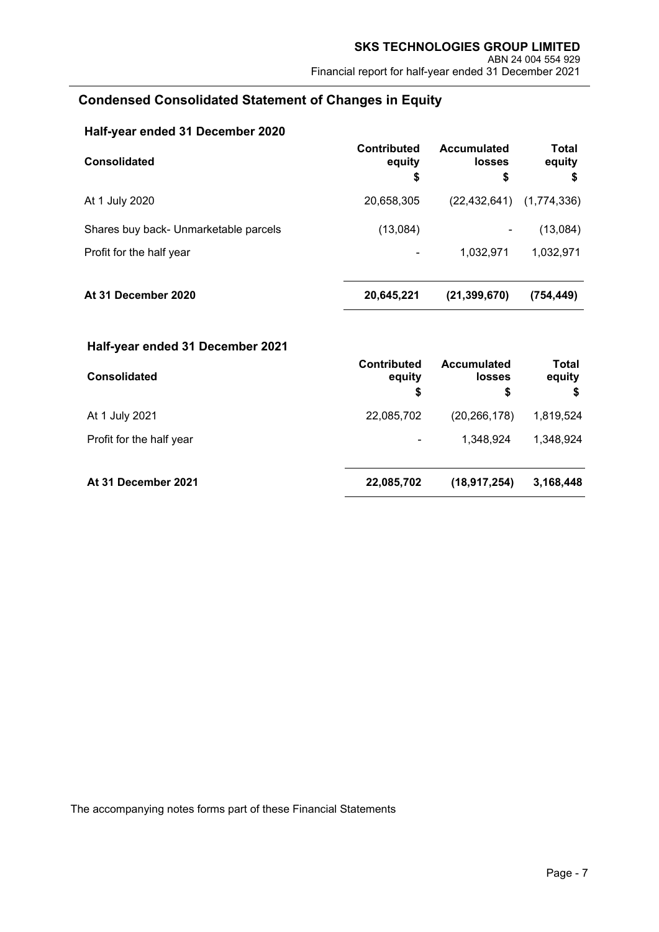# **Condensed Consolidated Statement of Changes in Equity**

| Half-year ended 31 December 2020      |                                    |                                    |                              |
|---------------------------------------|------------------------------------|------------------------------------|------------------------------|
| <b>Consolidated</b>                   | <b>Contributed</b><br>equity<br>\$ | <b>Accumulated</b><br>losses<br>\$ | <b>Total</b><br>equity<br>\$ |
| At 1 July 2020                        | 20,658,305                         | (22, 432, 641)                     | (1,774,336)                  |
| Shares buy back- Unmarketable parcels | (13,084)                           |                                    | (13,084)                     |
| Profit for the half year              |                                    | 1,032,971                          | 1,032,971                    |
| At 31 December 2020                   | 20,645,221                         | (21, 399, 670)                     | (754, 449)                   |

| Half-year ended 31 December 2021 |                                    |                                           |                       |
|----------------------------------|------------------------------------|-------------------------------------------|-----------------------|
| <b>Consolidated</b>              | <b>Contributed</b><br>equity<br>\$ | <b>Accumulated</b><br><b>losses</b><br>\$ | Total<br>equity<br>\$ |
| At 1 July 2021                   | 22,085,702                         | (20, 266, 178)                            | 1,819,524             |
| Profit for the half year         |                                    | 1.348.924                                 | 1,348,924             |
| At 31 December 2021              | 22,085,702                         | (18, 917, 254)                            | 3,168,448             |

The accompanying notes forms part of these Financial Statements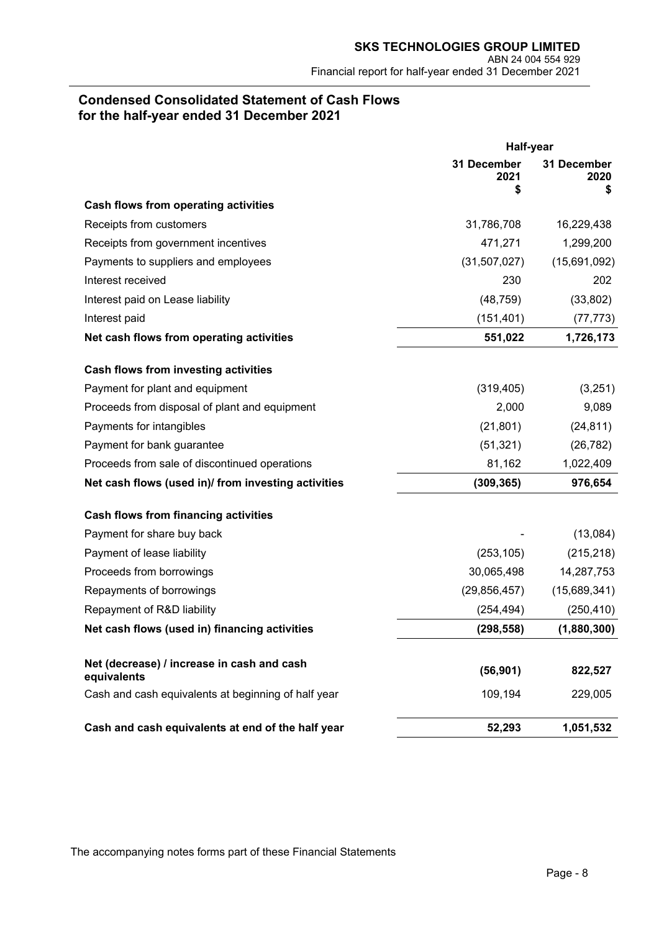# **Condensed Consolidated Statement of Cash Flows for the half-year ended 31 December 2021**

|                                                           | Half-year                 |                           |
|-----------------------------------------------------------|---------------------------|---------------------------|
|                                                           | 31 December<br>2021<br>\$ | 31 December<br>2020<br>\$ |
| Cash flows from operating activities                      |                           |                           |
| Receipts from customers                                   | 31,786,708                | 16,229,438                |
| Receipts from government incentives                       | 471,271                   | 1,299,200                 |
| Payments to suppliers and employees                       | (31, 507, 027)            | (15,691,092)              |
| Interest received                                         | 230                       | 202                       |
| Interest paid on Lease liability                          | (48, 759)                 | (33, 802)                 |
| Interest paid                                             | (151, 401)                | (77, 773)                 |
| Net cash flows from operating activities                  | 551,022                   | 1,726,173                 |
| <b>Cash flows from investing activities</b>               |                           |                           |
| Payment for plant and equipment                           | (319, 405)                | (3,251)                   |
| Proceeds from disposal of plant and equipment             | 2,000                     | 9,089                     |
| Payments for intangibles                                  | (21, 801)                 | (24, 811)                 |
| Payment for bank guarantee                                | (51, 321)                 | (26, 782)                 |
| Proceeds from sale of discontinued operations             | 81,162                    | 1,022,409                 |
| Net cash flows (used in)/ from investing activities       | (309, 365)                | 976,654                   |
| <b>Cash flows from financing activities</b>               |                           |                           |
| Payment for share buy back                                |                           | (13,084)                  |
| Payment of lease liability                                | (253, 105)                | (215, 218)                |
| Proceeds from borrowings                                  | 30,065,498                | 14,287,753                |
| Repayments of borrowings                                  | (29, 856, 457)            | (15,689,341)              |
| Repayment of R&D liability                                | (254, 494)                | (250, 410)                |
| Net cash flows (used in) financing activities             | (298, 558)                | (1,880,300)               |
| Net (decrease) / increase in cash and cash<br>equivalents | (56, 901)                 | 822,527                   |
| Cash and cash equivalents at beginning of half year       | 109,194                   | 229,005                   |
| Cash and cash equivalents at end of the half year         | 52,293                    | 1,051,532                 |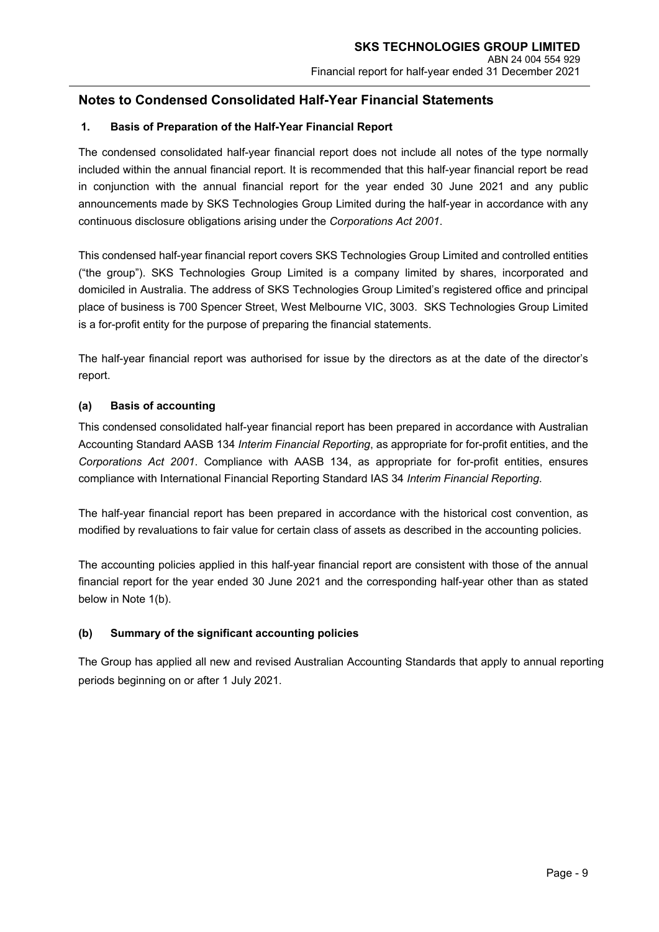## **1. Basis of Preparation of the Half-Year Financial Report**

The condensed consolidated half-year financial report does not include all notes of the type normally included within the annual financial report. It is recommended that this half-year financial report be read in conjunction with the annual financial report for the year ended 30 June 2021 and any public announcements made by SKS Technologies Group Limited during the half-year in accordance with any continuous disclosure obligations arising under the *Corporations Act 2001*.

This condensed half-year financial report covers SKS Technologies Group Limited and controlled entities ("the group"). SKS Technologies Group Limited is a company limited by shares, incorporated and domiciled in Australia. The address of SKS Technologies Group Limited's registered office and principal place of business is 700 Spencer Street, West Melbourne VIC, 3003. SKS Technologies Group Limited is a for-profit entity for the purpose of preparing the financial statements.

The half-year financial report was authorised for issue by the directors as at the date of the director's report.

#### **(a) Basis of accounting**

This condensed consolidated half-year financial report has been prepared in accordance with Australian Accounting Standard AASB 134 *Interim Financial Reporting*, as appropriate for for-profit entities, and the *Corporations Act 2001*. Compliance with AASB 134, as appropriate for for-profit entities, ensures compliance with International Financial Reporting Standard IAS 34 *Interim Financial Reporting*.

The half-year financial report has been prepared in accordance with the historical cost convention, as modified by revaluations to fair value for certain class of assets as described in the accounting policies.

The accounting policies applied in this half-year financial report are consistent with those of the annual financial report for the year ended 30 June 2021 and the corresponding half-year other than as stated below in Note 1(b).

#### **(b) Summary of the significant accounting policies**

The Group has applied all new and revised Australian Accounting Standards that apply to annual reporting periods beginning on or after 1 July 2021.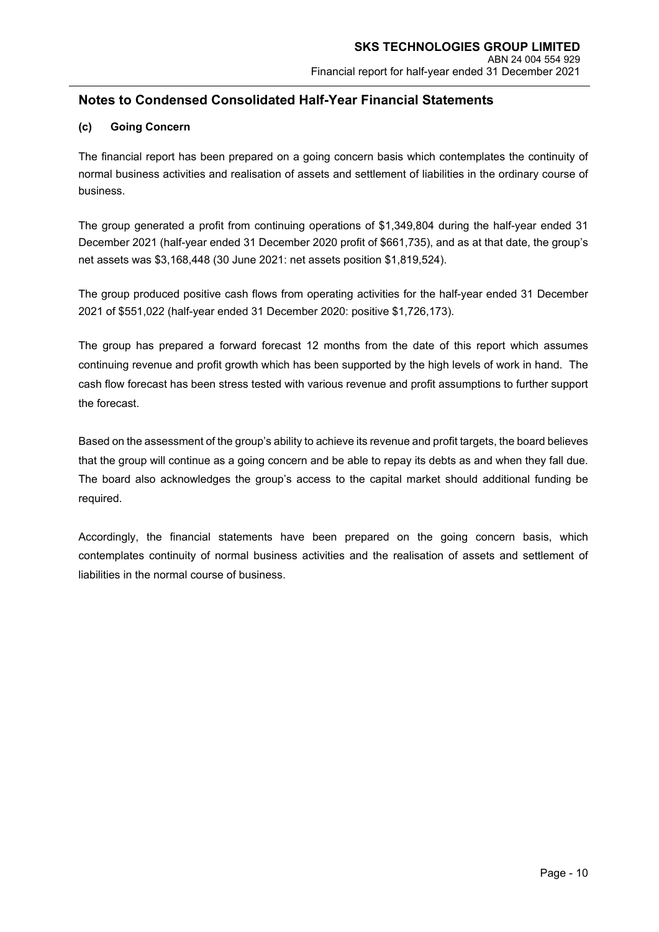### **(c) Going Concern**

The financial report has been prepared on a going concern basis which contemplates the continuity of normal business activities and realisation of assets and settlement of liabilities in the ordinary course of business.

The group generated a profit from continuing operations of \$1,349,804 during the half-year ended 31 December 2021 (half-year ended 31 December 2020 profit of \$661,735), and as at that date, the group's net assets was \$3,168,448 (30 June 2021: net assets position \$1,819,524).

The group produced positive cash flows from operating activities for the half-year ended 31 December 2021 of \$551,022 (half-year ended 31 December 2020: positive \$1,726,173).

The group has prepared a forward forecast 12 months from the date of this report which assumes continuing revenue and profit growth which has been supported by the high levels of work in hand. The cash flow forecast has been stress tested with various revenue and profit assumptions to further support the forecast.

Based on the assessment of the group's ability to achieve its revenue and profit targets, the board believes that the group will continue as a going concern and be able to repay its debts as and when they fall due. The board also acknowledges the group's access to the capital market should additional funding be required.

Accordingly, the financial statements have been prepared on the going concern basis, which contemplates continuity of normal business activities and the realisation of assets and settlement of liabilities in the normal course of business.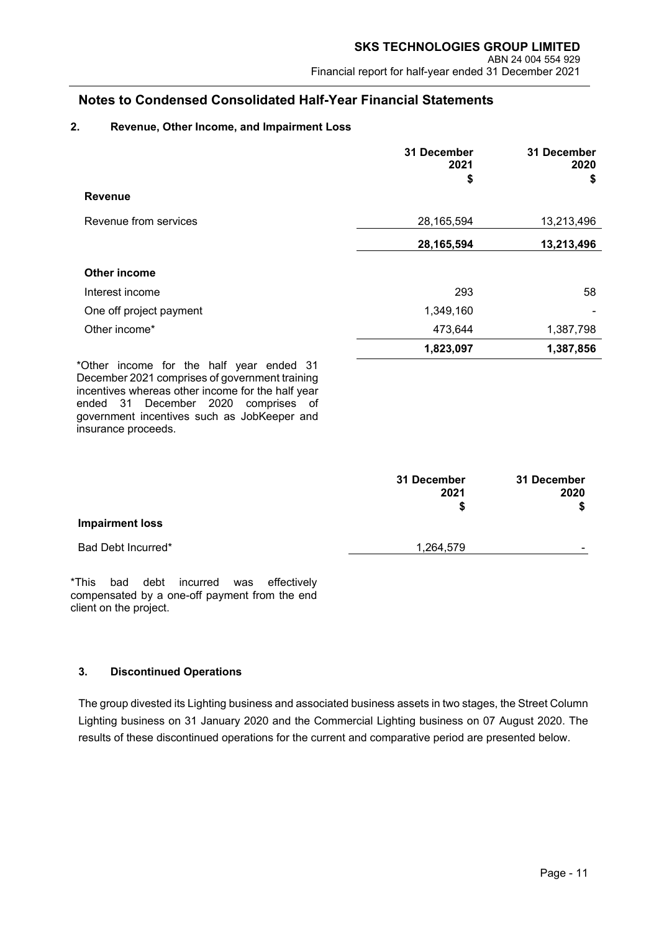## **2. Revenue, Other Income, and Impairment Loss**

|                                                                                                                                                 | 31 December<br>2021<br>\$ | 31 December<br>2020<br>S |
|-------------------------------------------------------------------------------------------------------------------------------------------------|---------------------------|--------------------------|
| <b>Revenue</b>                                                                                                                                  |                           |                          |
| Revenue from services                                                                                                                           | 28,165,594                | 13,213,496               |
|                                                                                                                                                 | 28,165,594                | 13,213,496               |
| Other income                                                                                                                                    |                           |                          |
| Interest income                                                                                                                                 | 293                       | 58                       |
| One off project payment                                                                                                                         | 1,349,160                 |                          |
| Other income*                                                                                                                                   | 473,644                   | 1,387,798                |
|                                                                                                                                                 | 1,823,097                 | 1,387,856                |
| *Other income for the half year ended 31<br>December 2021 comprises of government training<br>incentives whereas other income for the half year |                           |                          |

incentives whereas other income for the half year ended 31 December 2020 comprises of government incentives such as JobKeeper and insurance proceeds.

|                        | 31 December<br>2021 | 31 December<br>2020 |
|------------------------|---------------------|---------------------|
|                        | \$                  | S                   |
| <b>Impairment loss</b> |                     |                     |
| Bad Debt Incurred*     | 1,264,579           | -                   |

\*This bad debt incurred was effectively compensated by a one-off payment from the end client on the project.

### **3. Discontinued Operations**

The group divested its Lighting business and associated business assets in two stages, the Street Column Lighting business on 31 January 2020 and the Commercial Lighting business on 07 August 2020. The results of these discontinued operations for the current and comparative period are presented below.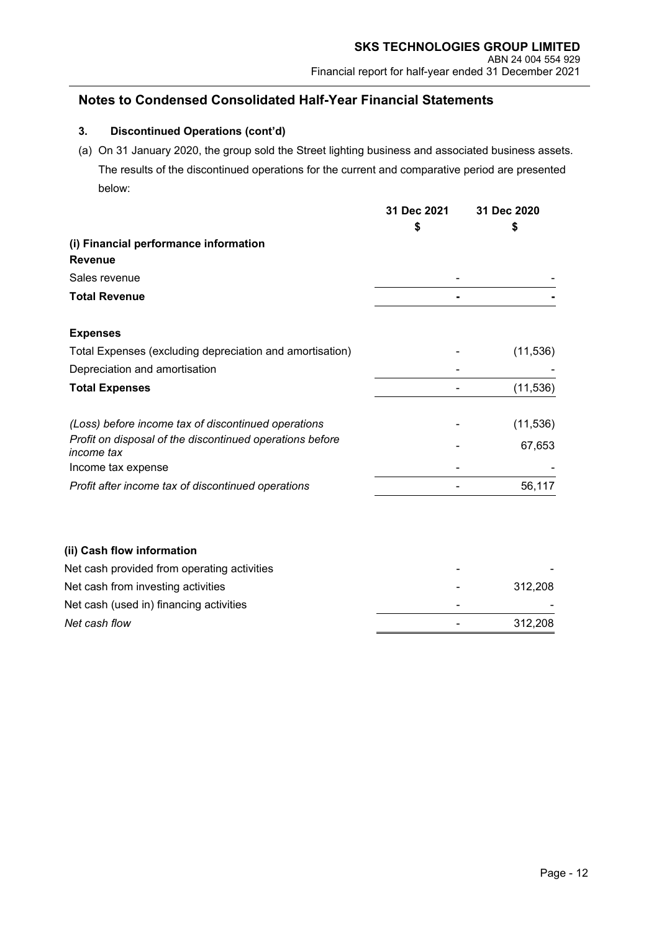## **3. Discontinued Operations (cont'd)**

(a) On 31 January 2020, the group sold the Street lighting business and associated business assets. The results of the discontinued operations for the current and comparative period are presented below:

|                                                                               | 31 Dec 2021<br>S | 31 Dec 2020<br>\$ |
|-------------------------------------------------------------------------------|------------------|-------------------|
| (i) Financial performance information                                         |                  |                   |
| <b>Revenue</b>                                                                |                  |                   |
| Sales revenue                                                                 |                  |                   |
| <b>Total Revenue</b>                                                          |                  |                   |
| <b>Expenses</b>                                                               |                  |                   |
| Total Expenses (excluding depreciation and amortisation)                      |                  | (11, 536)         |
| Depreciation and amortisation                                                 |                  |                   |
| <b>Total Expenses</b>                                                         |                  | (11, 536)         |
| (Loss) before income tax of discontinued operations                           |                  | (11, 536)         |
| Profit on disposal of the discontinued operations before<br><i>income</i> tax |                  | 67,653            |
| Income tax expense                                                            |                  |                   |
| Profit after income tax of discontinued operations                            |                  | 56,117            |
|                                                                               |                  |                   |

### **(ii) Cash flow information**

| Net cash provided from operating activities | - |         |
|---------------------------------------------|---|---------|
| Net cash from investing activities          |   | 312.208 |
| Net cash (used in) financing activities     |   |         |
| Net cash flow                               |   | 312.208 |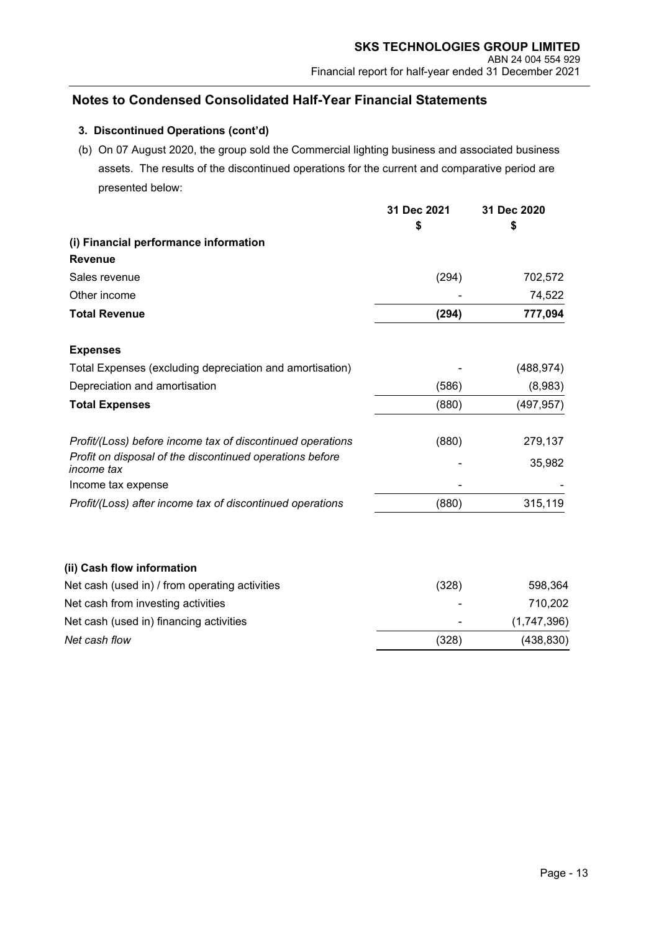## **3. Discontinued Operations (cont'd)**

(b) On 07 August 2020, the group sold the Commercial lighting business and associated business assets. The results of the discontinued operations for the current and comparative period are presented below:

|                                                                        | 31 Dec 2021 | 31 Dec 2020 |
|------------------------------------------------------------------------|-------------|-------------|
|                                                                        | \$          | \$          |
| (i) Financial performance information                                  |             |             |
| <b>Revenue</b>                                                         |             |             |
| Sales revenue                                                          | (294)       | 702,572     |
| Other income                                                           |             | 74,522      |
| <b>Total Revenue</b>                                                   | (294)       | 777,094     |
| <b>Expenses</b>                                                        |             |             |
| Total Expenses (excluding depreciation and amortisation)               |             | (488, 974)  |
| Depreciation and amortisation                                          | (586)       | (8,983)     |
| <b>Total Expenses</b>                                                  | (880)       | (497, 957)  |
| Profit/(Loss) before income tax of discontinued operations             | (880)       | 279,137     |
| Profit on disposal of the discontinued operations before<br>income tax |             | 35,982      |
| Income tax expense                                                     |             |             |
| Profit/(Loss) after income tax of discontinued operations              | (880)       | 315,119     |
|                                                                        |             |             |
| (ii) Cash flow information                                             |             |             |
| Net cash (used in) / from operating activities                         | (328)       | 598,364     |
| Net cash from investing activities                                     |             | 710,202     |
| Net cash (used in) financing activities                                |             | (1,747,396) |
| Net cash flow                                                          | (328)       | (438, 830)  |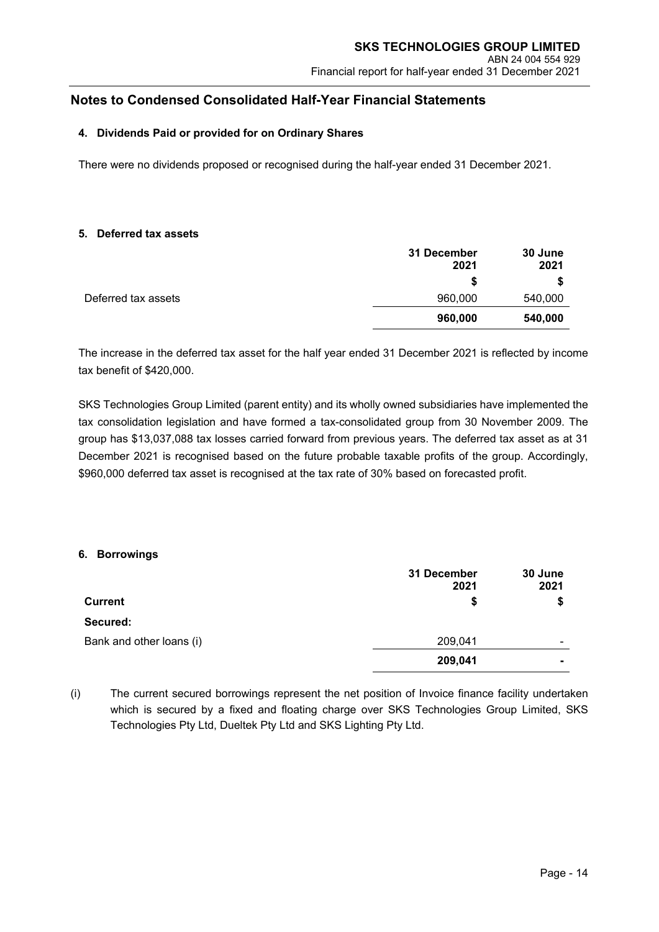#### **4. Dividends Paid or provided for on Ordinary Shares**

There were no dividends proposed or recognised during the half-year ended 31 December 2021.

#### **5. Deferred tax assets**

|                     | 31 December<br>2021 | 30 June<br>2021 |
|---------------------|---------------------|-----------------|
|                     | S                   |                 |
| Deferred tax assets | 960,000             | 540,000         |
|                     | 960,000             | 540,000         |

The increase in the deferred tax asset for the half year ended 31 December 2021 is reflected by income tax benefit of \$420,000.

SKS Technologies Group Limited (parent entity) and its wholly owned subsidiaries have implemented the tax consolidation legislation and have formed a tax-consolidated group from 30 November 2009. The group has \$13,037,088 tax losses carried forward from previous years. The deferred tax asset as at 31 December 2021 is recognised based on the future probable taxable profits of the group. Accordingly, \$960,000 deferred tax asset is recognised at the tax rate of 30% based on forecasted profit.

#### **6. Borrowings**

|                          | 31 December<br>2021 | 30 June<br>2021 |
|--------------------------|---------------------|-----------------|
| Current                  | \$                  |                 |
| Secured:                 |                     |                 |
| Bank and other loans (i) | 209,041             | -               |
|                          | 209,041             |                 |

(i) The current secured borrowings represent the net position of Invoice finance facility undertaken which is secured by a fixed and floating charge over SKS Technologies Group Limited, SKS Technologies Pty Ltd, Dueltek Pty Ltd and SKS Lighting Pty Ltd.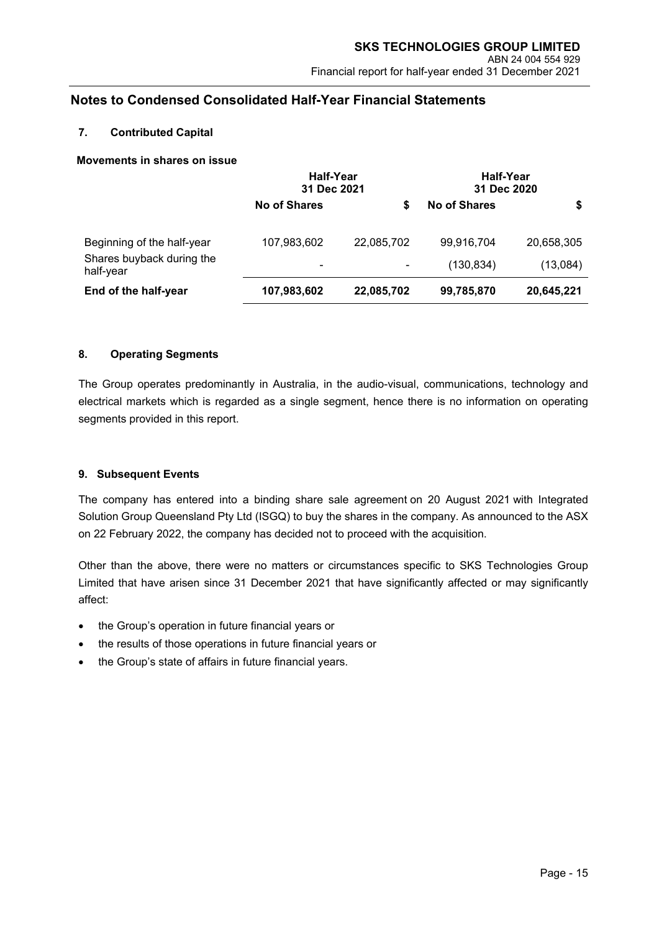#### **7. Contributed Capital**

#### **Movements in shares on issue**

|                                        | <b>Half-Year</b><br>31 Dec 2021 |                | <b>Half-Year</b><br>31 Dec 2020 |            |
|----------------------------------------|---------------------------------|----------------|---------------------------------|------------|
|                                        | <b>No of Shares</b>             | S              | No of Shares                    | \$         |
| Beginning of the half-year             | 107,983,602                     | 22,085,702     | 99,916,704                      | 20,658,305 |
| Shares buyback during the<br>half-year | ۰                               | $\blacksquare$ | (130, 834)                      | (13,084)   |
| End of the half-year                   | 107,983,602                     | 22,085,702     | 99,785,870                      | 20,645,221 |

#### **8. Operating Segments**

The Group operates predominantly in Australia, in the audio-visual, communications, technology and electrical markets which is regarded as a single segment, hence there is no information on operating segments provided in this report.

#### **9. Subsequent Events**

The company has entered into a binding share sale agreement on 20 August 2021 with Integrated Solution Group Queensland Pty Ltd (ISGQ) to buy the shares in the company. As announced to the ASX on 22 February 2022, the company has decided not to proceed with the acquisition.

Other than the above, there were no matters or circumstances specific to SKS Technologies Group Limited that have arisen since 31 December 2021 that have significantly affected or may significantly affect:

- the Group's operation in future financial years or
- the results of those operations in future financial years or
- the Group's state of affairs in future financial years.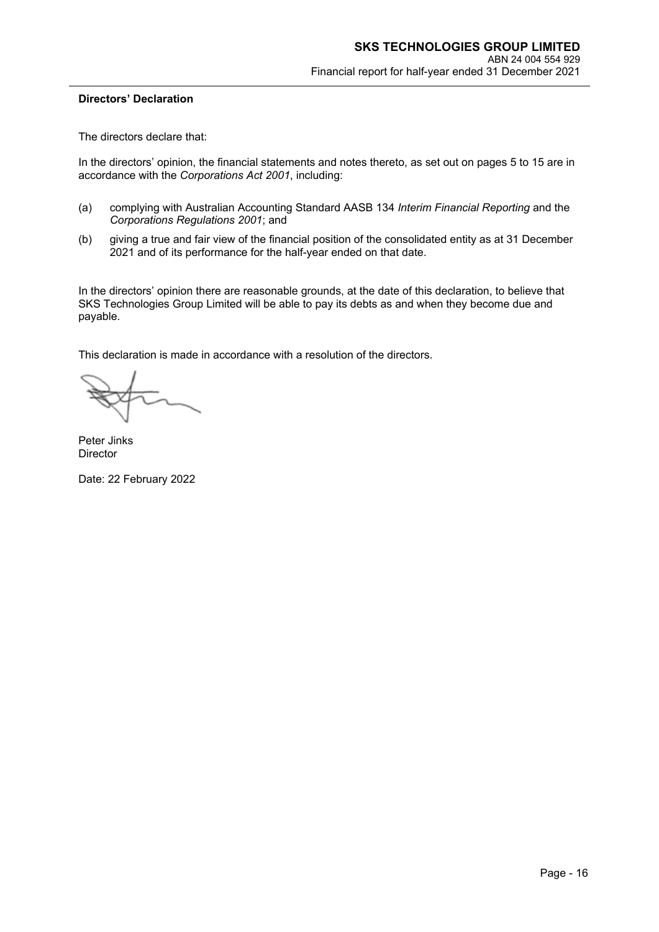#### **Directors' Declaration**

The directors declare that:

In the directors' opinion, the financial statements and notes thereto, as set out on pages 5 to 15 are in accordance with the *Corporations Act 2001*, including:

- (a) complying with Australian Accounting Standard AASB 134 *Interim Financial Reporting* and the *Corporations Regulations 2001*; and
- (b) giving a true and fair view of the financial position of the consolidated entity as at 31 December 2021 and of its performance for the half-year ended on that date.

In the directors' opinion there are reasonable grounds, at the date of this declaration, to believe that SKS Technologies Group Limited will be able to pay its debts as and when they become due and payable.

This declaration is made in accordance with a resolution of the directors.

Peter Jinks **Director** 

Date: 22 February 2022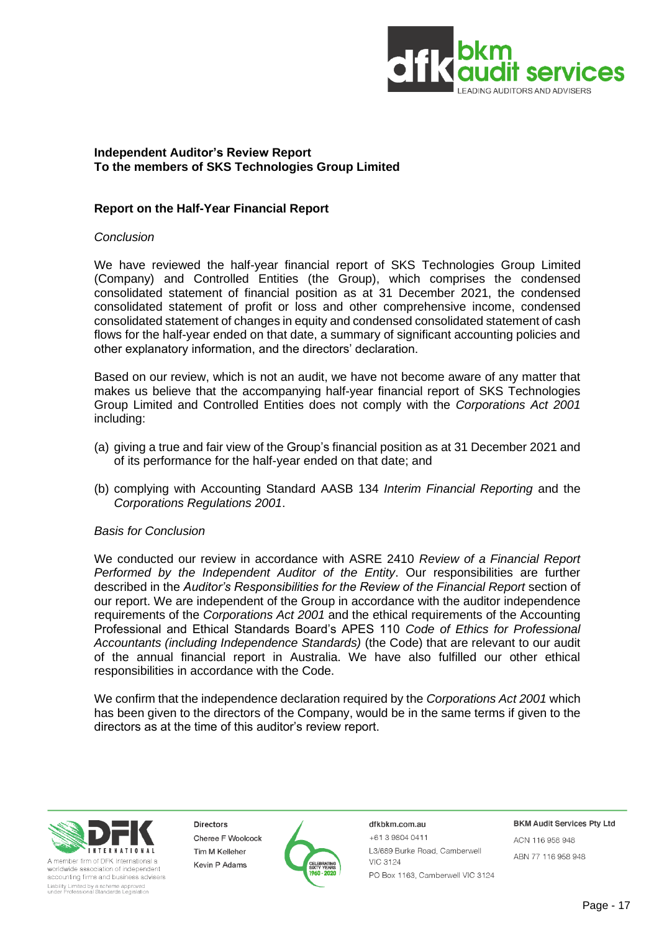

### **Independent Auditor's Review Report To the members of SKS Technologies Group Limited**

## **Report on the Half-Year Financial Report**

#### *Conclusion*

We have reviewed the half-year financial report of SKS Technologies Group Limited (Company) and Controlled Entities (the Group), which comprises the condensed consolidated statement of financial position as at 31 December 2021, the condensed consolidated statement of profit or loss and other comprehensive income, condensed consolidated statement of changes in equity and condensed consolidated statement of cash flows for the half-year ended on that date, a summary of significant accounting policies and other explanatory information, and the directors' declaration.

Based on our review, which is not an audit, we have not become aware of any matter that makes us believe that the accompanying half-year financial report of SKS Technologies Group Limited and Controlled Entities does not comply with the *Corporations Act 2001* including:

- (a) giving a true and fair view of the Group's financial position as at 31 December 2021 and of its performance for the half-year ended on that date; and
- (b) complying with Accounting Standard AASB 134 *Interim Financial Reporting* and the *Corporations Regulations 2001*.

#### *Basis for Conclusion*

We conducted our review in accordance with ASRE 2410 *Review of a Financial Report Performed by the Independent Auditor of the Entity*. Our responsibilities are further described in the *Auditor's Responsibilities for the Review of the Financial Report* section of our report. We are independent of the Group in accordance with the auditor independence requirements of the *Corporations Act 2001* and the ethical requirements of the Accounting Professional and Ethical Standards Board's APES 110 *Code of Ethics for Professional Accountants (including Independence Standards)* (the Code) that are relevant to our audit of the annual financial report in Australia. We have also fulfilled our other ethical responsibilities in accordance with the Code.

We confirm that the independence declaration required by the *Corporations Act 2001* which has been given to the directors of the Company, would be in the same terms if given to the directors as at the time of this auditor's review report.



A member firm of DFK International a worldwide association of independent accounting firms and business advisers Liability Limited by a scheme approved<br>under Professional Standards Legislation

**Directors** Cheree F Woolcock Tim M Kelleher Kevin P Adams



#### dfkbkm.com.au +61398040411 L3/689 Burke Road, Camberwell **VIC 3124** PO Box 1163, Camberwell VIC 3124

**BKM Audit Services Pty Ltd** ACN 116 958 948

ABN 77 116 958 948